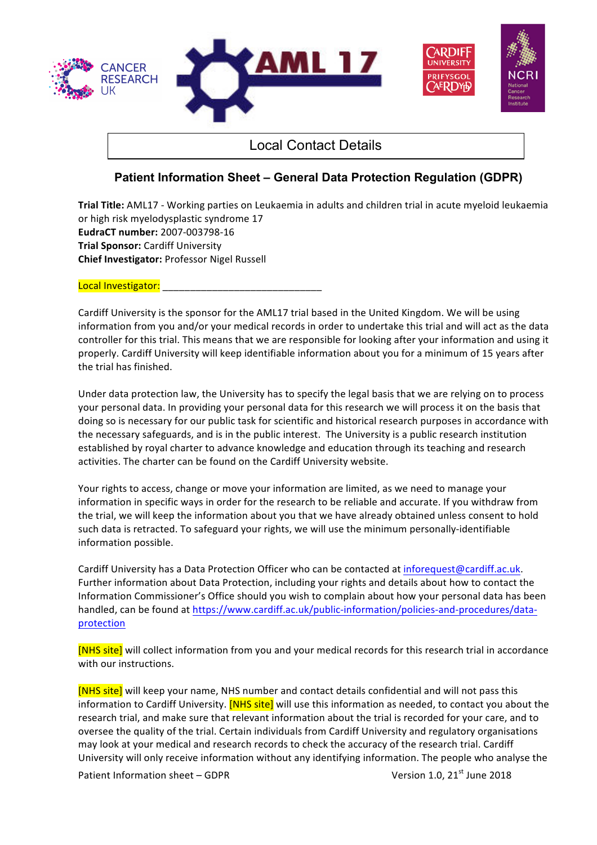

## Local Contact Details

## **Patient Information Sheet – General Data Protection Regulation (GDPR)**

**Trial Title:** AML17 - Working parties on Leukaemia in adults and children trial in acute myeloid leukaemia or high risk myelodysplastic syndrome 17 **EudraCT number:** 2007-003798-16 **Trial Sponsor:** Cardiff University **Chief Investigator: Professor Nigel Russell** 

Local Investigator:

Cardiff University is the sponsor for the AML17 trial based in the United Kingdom. We will be using information from you and/or your medical records in order to undertake this trial and will act as the data controller for this trial. This means that we are responsible for looking after your information and using it properly. Cardiff University will keep identifiable information about you for a minimum of 15 years after the trial has finished.

Under data protection law, the University has to specify the legal basis that we are relying on to process your personal data. In providing your personal data for this research we will process it on the basis that doing so is necessary for our public task for scientific and historical research purposes in accordance with the necessary safeguards, and is in the public interest. The University is a public research institution established by royal charter to advance knowledge and education through its teaching and research activities. The charter can be found on the Cardiff University website.

Your rights to access, change or move your information are limited, as we need to manage your information in specific ways in order for the research to be reliable and accurate. If you withdraw from the trial, we will keep the information about you that we have already obtained unless consent to hold such data is retracted. To safeguard your rights, we will use the minimum personally-identifiable information possible.

Cardiff University has a Data Protection Officer who can be contacted at inforequest@cardiff.ac.uk. Further information about Data Protection, including your rights and details about how to contact the Information Commissioner's Office should you wish to complain about how your personal data has been handled, can be found at https://www.cardiff.ac.uk/public-information/policies-and-procedures/dataprotection 

[NHS site] will collect information from you and your medical records for this research trial in accordance with our instructions.

[NHS site] will keep your name, NHS number and contact details confidential and will not pass this information to Cardiff University. **[NHS site]** will use this information as needed, to contact you about the research trial, and make sure that relevant information about the trial is recorded for your care, and to oversee the quality of the trial. Certain individuals from Cardiff University and regulatory organisations may look at your medical and research records to check the accuracy of the research trial. Cardiff University will only receive information without any identifying information. The people who analyse the

Patient Information sheet – GDPR  $V$ ersion 1.0, 21<sup>st</sup> June 2018